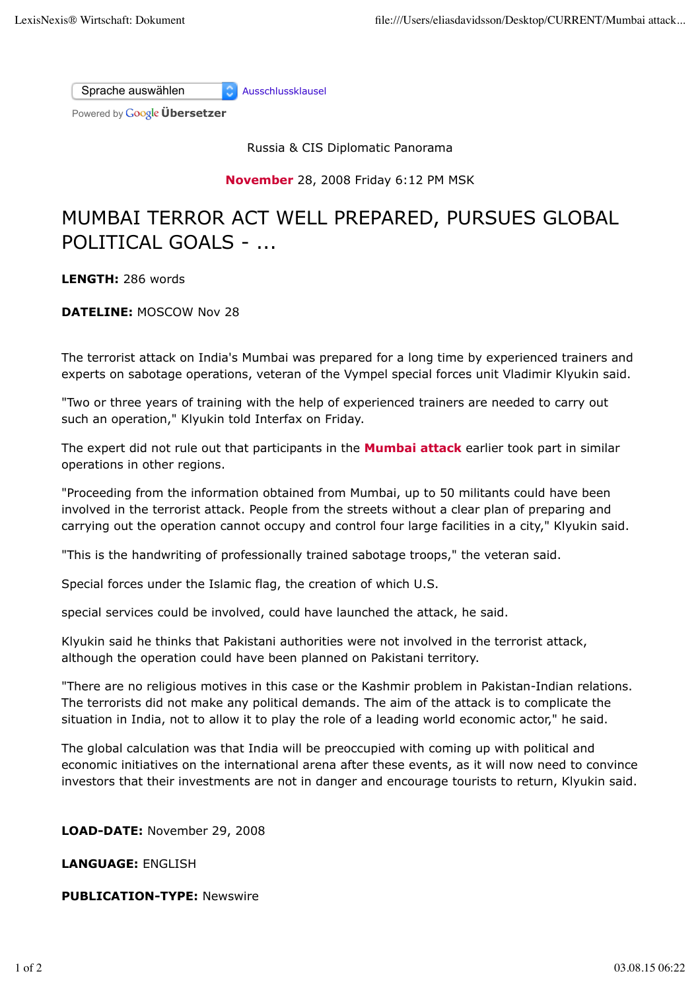Sprache auswählen Ausschlussklausel

Powered by **Google Übersetzer** 

Russia & CIS Diplomatic Panorama

**November** 28, 2008 Friday 6:12 PM MSK

## MUMBAI TERROR ACT WELL PREPARED, PURSUES GLOBAL POLITICAL GOALS - ...

**LENGTH:** 286 words

**DATELINE:** MOSCOW Nov 28

The terrorist attack on India's Mumbai was prepared for a long time by experienced trainers and experts on sabotage operations, veteran of the Vympel special forces unit Vladimir Klyukin said.

"Two or three years of training with the help of experienced trainers are needed to carry out such an operation," Klyukin told Interfax on Friday.

The expert did not rule out that participants in the **Mumbai attack** earlier took part in similar operations in other regions.

"Proceeding from the information obtained from Mumbai, up to 50 militants could have been involved in the terrorist attack. People from the streets without a clear plan of preparing and carrying out the operation cannot occupy and control four large facilities in a city," Klyukin said.

"This is the handwriting of professionally trained sabotage troops," the veteran said.

Special forces under the Islamic flag, the creation of which U.S.

special services could be involved, could have launched the attack, he said.

Klyukin said he thinks that Pakistani authorities were not involved in the terrorist attack, although the operation could have been planned on Pakistani territory.

"There are no religious motives in this case or the Kashmir problem in Pakistan-Indian relations. The terrorists did not make any political demands. The aim of the attack is to complicate the situation in India, not to allow it to play the role of a leading world economic actor," he said.

The global calculation was that India will be preoccupied with coming up with political and economic initiatives on the international arena after these events, as it will now need to convince investors that their investments are not in danger and encourage tourists to return, Klyukin said.

**LOAD-DATE:** November 29, 2008

**LANGUAGE:** ENGLISH

**PUBLICATION-TYPE:** Newswire